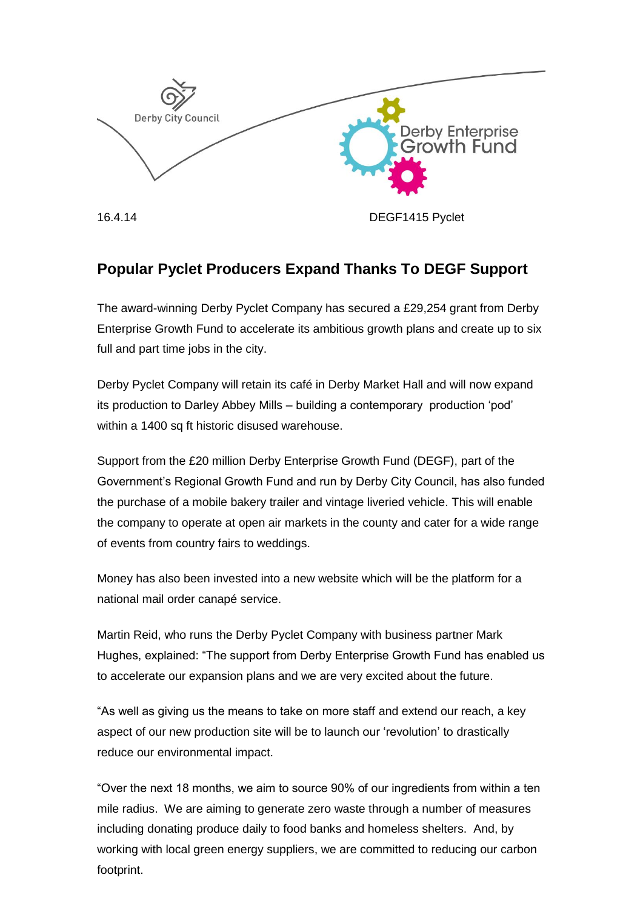

## **Popular Pyclet Producers Expand Thanks To DEGF Support**

The award-winning Derby Pyclet Company has secured a £29,254 grant from Derby Enterprise Growth Fund to accelerate its ambitious growth plans and create up to six full and part time jobs in the city.

Derby Pyclet Company will retain its café in Derby Market Hall and will now expand its production to Darley Abbey Mills – building a contemporary production 'pod' within a 1400 sq ft historic disused warehouse.

Support from the £20 million Derby Enterprise Growth Fund (DEGF), part of the Government's Regional Growth Fund and run by Derby City Council, has also funded the purchase of a mobile bakery trailer and vintage liveried vehicle. This will enable the company to operate at open air markets in the county and cater for a wide range of events from country fairs to weddings.

Money has also been invested into a new website which will be the platform for a national mail order canapé service.

Martin Reid, who runs the Derby Pyclet Company with business partner Mark Hughes, explained: "The support from Derby Enterprise Growth Fund has enabled us to accelerate our expansion plans and we are very excited about the future.

"As well as giving us the means to take on more staff and extend our reach, a key aspect of our new production site will be to launch our 'revolution' to drastically reduce our environmental impact.

"Over the next 18 months, we aim to source 90% of our ingredients from within a ten mile radius. We are aiming to generate zero waste through a number of measures including donating produce daily to food banks and homeless shelters. And, by working with local green energy suppliers, we are committed to reducing our carbon footprint.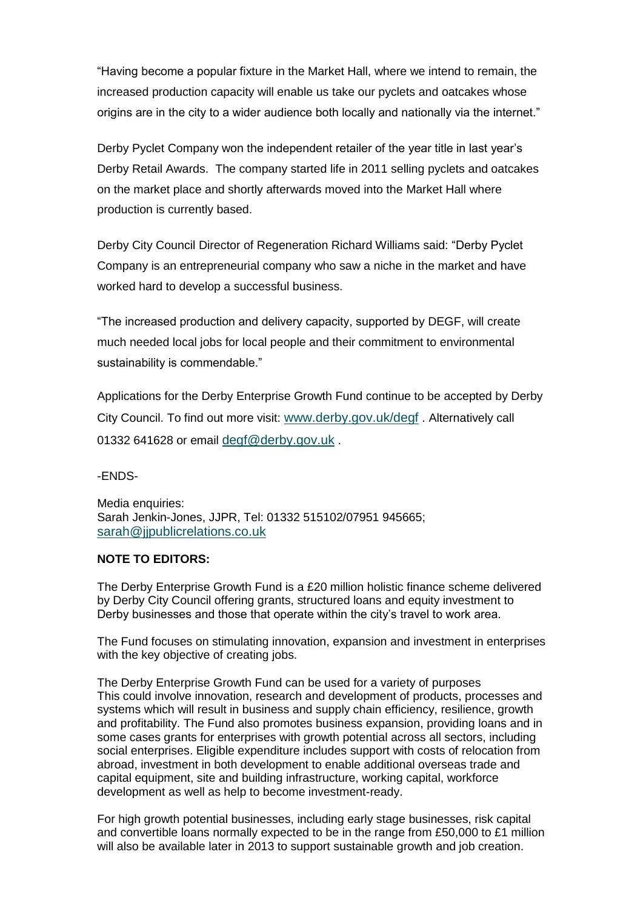"Having become a popular fixture in the Market Hall, where we intend to remain, the increased production capacity will enable us take our pyclets and oatcakes whose origins are in the city to a wider audience both locally and nationally via the internet."

Derby Pyclet Company won the independent retailer of the year title in last year's Derby Retail Awards. The company started life in 2011 selling pyclets and oatcakes on the market place and shortly afterwards moved into the Market Hall where production is currently based.

Derby City Council Director of Regeneration Richard Williams said: "Derby Pyclet Company is an entrepreneurial company who saw a niche in the market and have worked hard to develop a successful business.

"The increased production and delivery capacity, supported by DEGF, will create much needed local jobs for local people and their commitment to environmental sustainability is commendable."

Applications for the Derby Enterprise Growth Fund continue to be accepted by Derby City Council. To find out more visit: [www.derby.gov.uk/degf](http://www.derby.gov.uk/degf) . Alternatively call 01332 641628 or email [degf@derby.gov.uk](mailto:degf@derby.gov.uk).

-ENDS-

Media enquiries: Sarah Jenkin-Jones, JJPR, Tel: 01332 515102/07951 945665; sarah@jipublicrelations.co.uk

## **NOTE TO EDITORS:**

The Derby Enterprise Growth Fund is a £20 million holistic finance scheme delivered by Derby City Council offering grants, structured loans and equity investment to Derby businesses and those that operate within the city's travel to work area.

The Fund focuses on stimulating innovation, expansion and investment in enterprises with the key objective of creating jobs.

The Derby Enterprise Growth Fund can be used for a variety of purposes This could involve innovation, research and development of products, processes and systems which will result in business and supply chain efficiency, resilience, growth and profitability. The Fund also promotes business expansion, providing loans and in some cases grants for enterprises with growth potential across all sectors, including social enterprises. Eligible expenditure includes support with costs of relocation from abroad, investment in both development to enable additional overseas trade and capital equipment, site and building infrastructure, working capital, workforce development as well as help to become investment-ready.

For high growth potential businesses, including early stage businesses, risk capital and convertible loans normally expected to be in the range from £50,000 to £1 million will also be available later in 2013 to support sustainable growth and job creation.